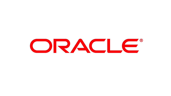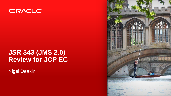

#### **JSR 343 (JMS 2.0) Review for JCP EC**

Nigel Deakin

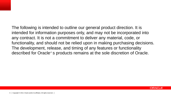The following is intended to outline our general product direction. It is intended for information purposes only, and may not be incorporated into any contract. It is not a commitment to deliver any material, code, or functionality, and should not be relied upon in making purchasing decisions. The development, release, and timing of any features or functionality described for Oracle's products remains at the sole discretion of Oracle.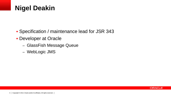### **Nigel Deakin**

- Specification / maintenance lead for JSR 343
- **Developer at Oracle** 
	- GlassFish Message Queue
	- WebLogic JMS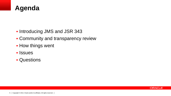

- **Introducing JMS and JSR 343**
- **Community and transparency review**
- **How things went**
- **I**ssues
- **Questions**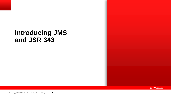### **Introducing JMS and JSR 343**

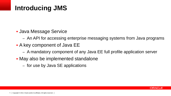# **Introducing JMS**

- Java Message Service
	- An API for accessing enterprise messaging systems from Java programs
- A key component of Java EE
	- A mandatory component of any Java EE full profile application server
- May also be implemented standalone
	- for use by Java SE applications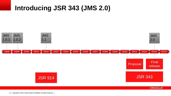### **Introducing JSR 343 (JMS 2.0)**



**ORACLE**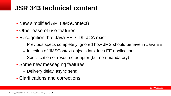### **JSR 343 technical content**

- New simplified API (JMSContext)
- Other ease of use features
- Recognition that Java EE, CDI, JCA exist
	- Previous specs completely ignored how JMS should behave in Java EE
	- Injection of JMSContext objects into Java EE applications
	- Specification of resource adapter (but non-mandatory)
- **Some new messaging features** 
	- Delivery delay, async send
- Clarifications and corrections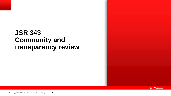### **JSR 343 Community and transparency review**

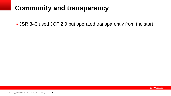# **Community and transparency**

JSR 343 used JCP 2.9 but operated transparently from the start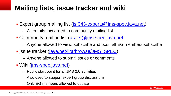# **Mailing lists, issue tracker and wiki**

- Expert group mailing list ([jsr343-experts@jms-spec.java.net\)](mailto:jsr343-experts@jms-spec.java.net)
	- All emails forwarded to community mailing list
- Community mailing list ([users@jms-spec.java.net\)](mailto:users@jms-spec.java.net)
	- Anyone allowed to view, subscribe and post, all EG members subscribe

ORACL E

- **Issue tracker ([java.net/jira/browse/JMS\\_SPEC](https://java.net/jira/browse/JMS_SPEC))** 
	- Anyone allowed to submit issues or comments
- Wiki [\(jms-spec.java.net](http://jms-spec.java.net/))
	- Public start point for all JMS 2.0 activities
	- Also used to support expert group discussions
	- Only EG members allowed to update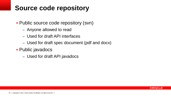# **Source code repository**

- Public source code repository (svn)
	- Anyone allowed to read
	- Used for draft API interfaces
	- Used for draft spec document (pdf and docx)
- **Public javadocs** 
	- Used for draft API javadocs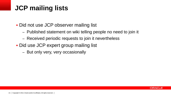# **JCP mailing lists**

- Did not use JCP observer mailing list
	- Published statement on wiki telling people no need to join it
	- Received periodic requests to join it nevertheless
- Did use JCP expert group mailing list
	- But only very, very occasionally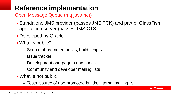# **Reference implementation**

Open Message Queue (mq.java.net)

- Standalone JMS provider (passes JMS TCK) and part of GlassFish application server (passes JMS CTS)
- Developed by Oracle
- What is public?
	- Source of promoted builds, build scripts
	- Issue tracker
	- Development one-pagers and specs
	- Community and developer mailing lists
- What is not public?
	- Tests, source of non-promoted builds, internal mailing list

ORACLE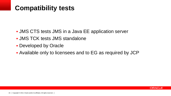# **Compatibility tests**

- JMS CTS tests JMS in a Java EE application server
- JMS TCK tests JMS standalone
- **Developed by Oracle**
- Available only to licensees and to EG as required by JCP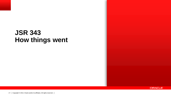### **JSR 343 How things went**

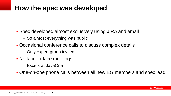### **How the spec was developed**

- Spec developed almost exclusively using JIRA and email
	- So almost everything was public
- Occasional conference calls to discuss complex details
	- Only expert group invited
- No face-to-face meetings
	- Except at JavaOne
- One-on-one phone calls between all new EG members and spec lead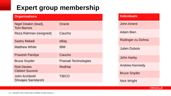## **Expert group membership**

| <b>Organisations</b>                        |                      |
|---------------------------------------------|----------------------|
| Nigel Deakin (lead),<br><b>Tom Barnes</b>   | Oracle               |
| Reza Rahman (resigned)                      | Caucho               |
| <b>Sastry Maladi</b>                        | eBay                 |
| <b>Matthew White</b>                        | <b>IBM</b>           |
| Pravesh Pandya                              | Caucho               |
| <b>Bruce Snyder</b>                         | Pramati Technologies |
| <b>Rob Davies</b><br><b>Clebert Suconic</b> | <b>RedHat</b>        |
| John Archbold<br>Shivajee Samdarshi         | TIBCO                |

| <b>Individuals</b>    |  |
|-----------------------|--|
| <b>John Ament</b>     |  |
| <b>Adam Bien</b>      |  |
| Rüdinger zu Dohna     |  |
| Julien Dubois         |  |
| <b>John Harby</b>     |  |
| <b>Andrew Kennedy</b> |  |
| <b>Bruce Snyder</b>   |  |
| <b>Nick Wright</b>    |  |

**ORACLE**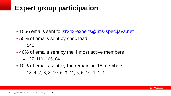# **Expert group participation**

- 1066 emails sent to [jsr343-experts@jms-spec.java.net](mailto:jsr343-experts@jms-spec.java.net)
- **.** 50% of emails sent by spec lead
	- 541
- 40% of emails sent by the 4 most active members
	- 127, 110, 105, 84
- **.10% of emails sent by the remaining 15 members** 
	- 13, 4, 7, 8, 3, 10, 6, 3, 11, 5, 5, 16, 1, 1, 1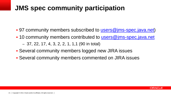# **JMS spec community participation**

- . 97 community members subscribed to [users@jms-spec.java.net\)](mailto:users@jms-spec.java.net)
- 10 community members contributed to [users@jms-spec.java.net](mailto:users@jms-spec.java.net)
	- 37, 22, 17, 4, 3, 2, 2, 1, 1,1 (90 in total)
- Several community members logged new JIRA issues
- Several community members commented on JIRA issues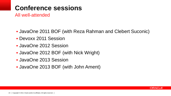# **Conference sessions**

All well-attended

- JavaOne 2011 BOF (with Reza Rahman and Clebert Suconic)
- Devoxx 2011 Session
- JavaOne 2012 Session
- JavaOne 2012 BOF (with Nick Wright)
- JavaOne 2013 Session
- JavaOne 2013 BOF (with John Ament)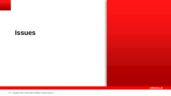#### **Issues**

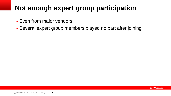# **Not enough expert group participation**

- **Even from major vendors**
- Several expert group members played no part after joining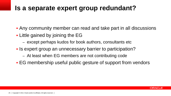### **Is a separate expert group redundant?**

- Any community member can read and take part in all discussions
- **EXA** Little gained by joining the EG
	- except perhaps kudos for book authors, consultants etc
- If Is expert group an unnecessary barrier to participation?
	- At least when EG members are not contributing code
- **EG** membership useful public gesture of support from vendors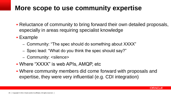### **More scope to use community expertise**

- Reluctance of community to bring forward their own detailed proposals, especially in areas requiring specialist knowledge
- Example
	- Community: "The spec should do something about XXXX"
	- Spec lead: "What do you think the spec should say?"
	- Community: <silence>
- Where "XXXX" is web APIs, AMQP, etc
- Where community members did come forward with proposals and expertise, they were very influential (e.g. CDI integration)

ORACLE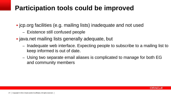### **Participation tools could be improved**

- jcp.org facilities (e.g. mailing lists) inadequate and not used
	- Existence still confused people
- **.** java.net mailing lists generally adequate, but
	- Inadequate web interface. Expecting people to subscribe to a mailing list to keep informed is out of date.
	- Using two separate email aliases is complicated to manage for both EG and community members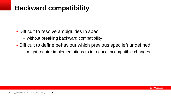## **Backward compatibility**

- **Difficult to resolve ambiguities in spec** 
	- without breaking backward compatibility
- Difficult to define behaviour which previous spec left undefined
	- might require implementations to introduce incompatible changes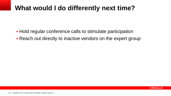### **What would I do differently next time?**

- **Hold regular conference calls to stimulate participation**
- Reach out directly to inactive vendors on the expert group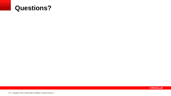#### **Questions?**